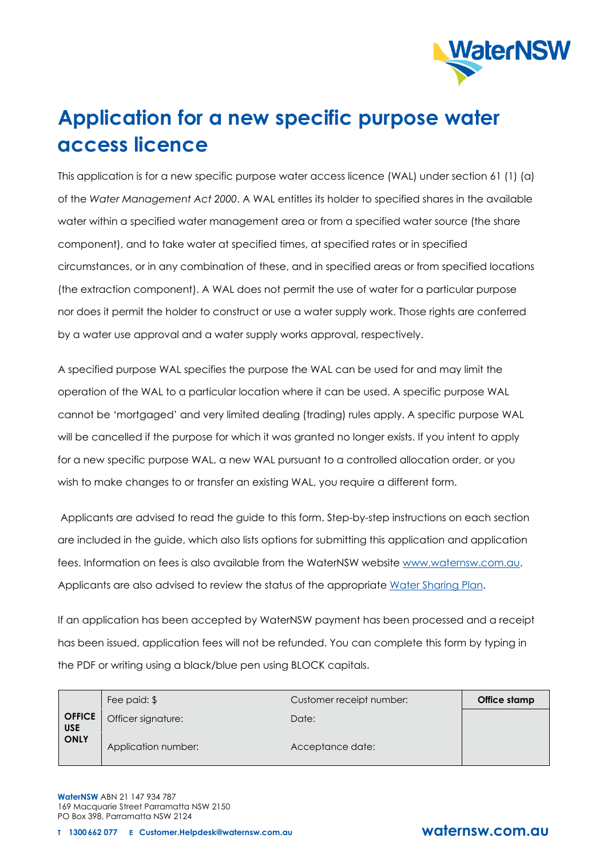

# **Application for a new specific purpose water access licence**

This application is for a new specific purpose water access licence (WAL) under section 61 (1) (a) of the *Water Management Act 2000*. A WAL entitles its holder to specified shares in the available water within a specified water management area or from a specified water source (the share component), and to take water at specified times, at specified rates or in specified circumstances, or in any combination of these, and in specified areas or from specified locations (the extraction component). A WAL does not permit the use of water for a particular purpose nor does it permit the holder to construct or use a water supply work. Those rights are conferred by a water use approval and a water supply works approval, respectively.

A specified purpose WAL specifies the purpose the WAL can be used for and may limit the operation of the WAL to a particular location where it can be used. A specific purpose WAL cannot be 'mortgaged' and very limited dealing (trading) rules apply. A specific purpose WAL will be cancelled if the purpose for which it was granted no longer exists. If you intent to apply for a new specific purpose WAL, a new WAL pursuant to a controlled allocation order, or you wish to make changes to or transfer an existing WAL, you require a different form.

Applicants are advised to read the guide to this form. Step-by-step instructions on each section are included in the guide, which also lists options for submitting this application and application fees. Information on fees is also available from the WaterNSW website [www.waternsw.com.au.](http://www.waternsw.com.au/) Applicants are also advised to review the status of the appropriate [Water Sharing Plan.](https://www.industry.nsw.gov.au/water/plans-programs/water-sharing-plans/status)

If an application has been accepted by WaterNSW payment has been processed and a receipt has been issued, application fees will not be refunded. You can complete this form by typing in the PDF or writing using a black/blue pen using BLOCK capitals.

|                             | Fee paid: \$        | Customer receipt number: | Office stamp |
|-----------------------------|---------------------|--------------------------|--------------|
| <b>OFFICE</b><br><b>USE</b> | Officer signature:  | Date:                    |              |
| <b>ONLY</b>                 | Application number: | Acceptance date:         |              |

**WaterNSW** ABN 21 147 934 787 169 Macquarie Street Parramatta NSW 2150 PO Box 398, Parramatta NSW 2124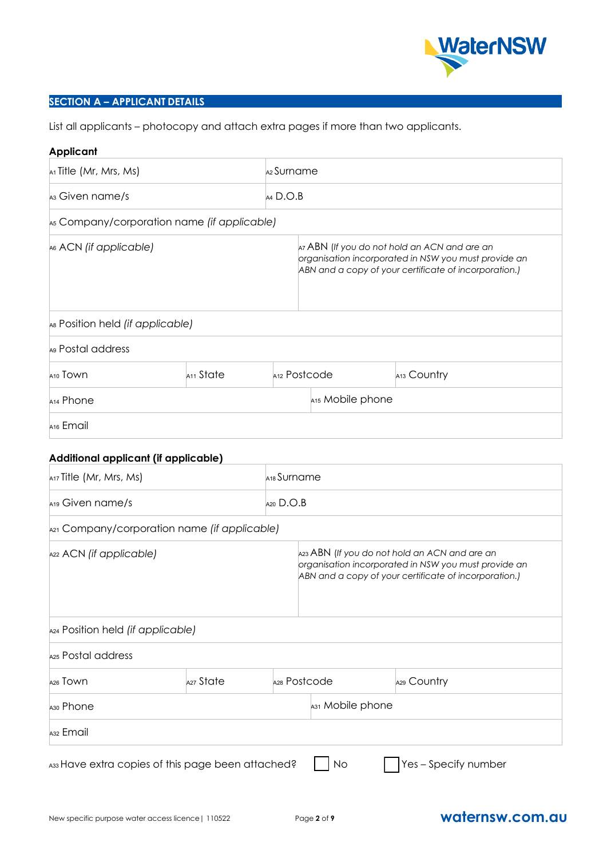

#### **SECTION A – APPLICANT DETAILS**

List all applicants – photocopy and attach extra pages if more than two applicants.

#### **Applicant**

| $A1$ Title (Mr, Mrs, Ms)                                                                                                                                                                                                                          |                       |                         | A2 Surname                                                                                                                                                    |  |                                                                                                                                                                |
|---------------------------------------------------------------------------------------------------------------------------------------------------------------------------------------------------------------------------------------------------|-----------------------|-------------------------|---------------------------------------------------------------------------------------------------------------------------------------------------------------|--|----------------------------------------------------------------------------------------------------------------------------------------------------------------|
| A <sub>3</sub> Given name/s                                                                                                                                                                                                                       |                       |                         | $AA$ D.O.B                                                                                                                                                    |  |                                                                                                                                                                |
| As Company/corporation name (if applicable)                                                                                                                                                                                                       |                       |                         |                                                                                                                                                               |  |                                                                                                                                                                |
| A6 ACN (if applicable)                                                                                                                                                                                                                            |                       |                         | Az ABN (If you do not hold an ACN and are an<br>organisation incorporated in NSW you must provide an<br>ABN and a copy of your certificate of incorporation.) |  |                                                                                                                                                                |
| As Position held (if applicable)                                                                                                                                                                                                                  |                       |                         |                                                                                                                                                               |  |                                                                                                                                                                |
| A9 Postal address                                                                                                                                                                                                                                 |                       |                         |                                                                                                                                                               |  |                                                                                                                                                                |
| A <sub>10</sub> Town                                                                                                                                                                                                                              | A <sub>11</sub> State |                         | A <sub>12</sub> Postcode                                                                                                                                      |  | A13 Country                                                                                                                                                    |
| A <sub>14</sub> Phone                                                                                                                                                                                                                             |                       |                         | A15 Mobile phone                                                                                                                                              |  |                                                                                                                                                                |
| A <sub>16</sub> Email                                                                                                                                                                                                                             |                       |                         |                                                                                                                                                               |  |                                                                                                                                                                |
|                                                                                                                                                                                                                                                   |                       |                         |                                                                                                                                                               |  |                                                                                                                                                                |
|                                                                                                                                                                                                                                                   |                       |                         |                                                                                                                                                               |  |                                                                                                                                                                |
|                                                                                                                                                                                                                                                   |                       | A <sub>18</sub> Surname |                                                                                                                                                               |  |                                                                                                                                                                |
|                                                                                                                                                                                                                                                   |                       | $A20$ $D.O.B$           |                                                                                                                                                               |  |                                                                                                                                                                |
|                                                                                                                                                                                                                                                   |                       |                         |                                                                                                                                                               |  |                                                                                                                                                                |
|                                                                                                                                                                                                                                                   |                       |                         |                                                                                                                                                               |  | A23 ABN (If you do not hold an ACN and are an<br>organisation incorporated in NSW you must provide an<br>ABN and a copy of your certificate of incorporation.) |
|                                                                                                                                                                                                                                                   |                       |                         |                                                                                                                                                               |  |                                                                                                                                                                |
|                                                                                                                                                                                                                                                   |                       |                         |                                                                                                                                                               |  |                                                                                                                                                                |
| Additional applicant (if applicable)<br>A17 Title (Mr, Mrs, Ms)<br>A19 Given name/s<br>A21 Company/corporation name (if applicable)<br>A22 ACN (if applicable)<br>A24 Position held (if applicable)<br>A25 Postal address<br>A <sub>26</sub> Town | A27 State             |                         | A28 Postcode                                                                                                                                                  |  | A29 Country                                                                                                                                                    |
| A <sub>30</sub> Phone                                                                                                                                                                                                                             |                       |                         | A31 Mobile phone                                                                                                                                              |  |                                                                                                                                                                |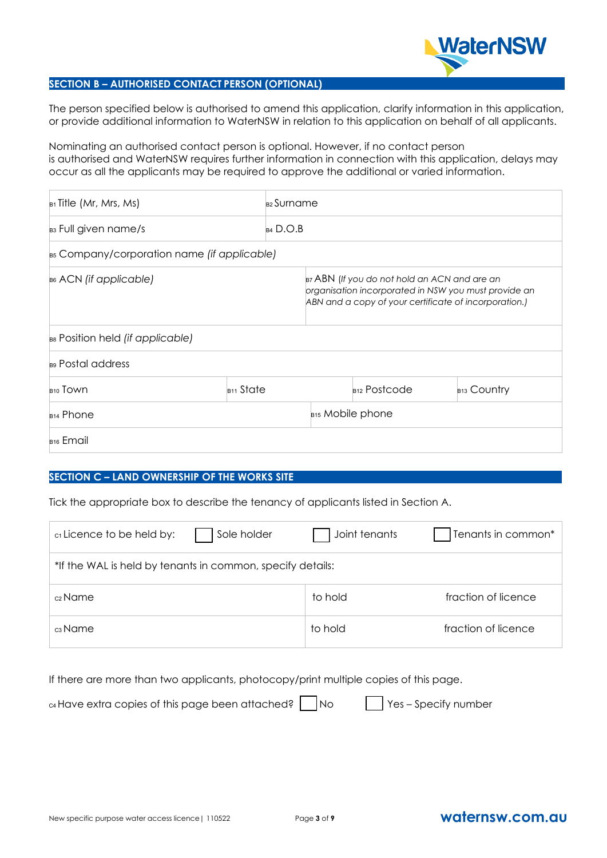

#### **SECTION B – AUTHORISED CONTACT PERSON (OPTIONAL)**

The person specified below is authorised to amend this application, clarify information in this application, or provide additional information to WaterNSW in relation to this application on behalf of all applicants.

Nominating an authorised contact person is optional. However, if no contact person is authorised and WaterNSW requires further information in connection with this application, delays may occur as all the applicants may be required to approve the additional or varied information.

| $B_1$ Title (Mr, Mrs, Ms)                   |                              | <sub>B2</sub> Surname |                                                                                                                                                               |                         |  |
|---------------------------------------------|------------------------------|-----------------------|---------------------------------------------------------------------------------------------------------------------------------------------------------------|-------------------------|--|
| B <sub>3</sub> Full given name/s            | $B4$ D.O.B                   |                       |                                                                                                                                                               |                         |  |
| B5 Company/corporation name (if applicable) |                              |                       |                                                                                                                                                               |                         |  |
| $_{B6}$ ACN (if applicable)                 |                              |                       | B7 ABN (If you do not hold an ACN and are an<br>organisation incorporated in NSW you must provide an<br>ABN and a copy of your certificate of incorporation.) |                         |  |
| B8 Position held (if applicable)            |                              |                       |                                                                                                                                                               |                         |  |
| B9 Postal address                           |                              |                       |                                                                                                                                                               |                         |  |
| B <sub>10</sub> Town                        | $_{B11}$ State               |                       | $_{B12}$ Postcode                                                                                                                                             | B <sub>13</sub> Country |  |
| B <sub>14</sub> Phone                       | B <sub>15</sub> Mobile phone |                       |                                                                                                                                                               |                         |  |
| B <sub>16</sub> Email                       |                              |                       |                                                                                                                                                               |                         |  |

#### **SECTION C – LAND OWNERSHIP OF THE WORKS SITE**

Tick the appropriate box to describe the tenancy of applicants listed in Section A.

| c <sub>1</sub> Licence to be held by:                      | Sole holder | Joint tenants | Tenants in common*  |  |  |  |
|------------------------------------------------------------|-------------|---------------|---------------------|--|--|--|
| *If the WAL is held by tenants in common, specify details: |             |               |                     |  |  |  |
| c <sub>2</sub> Name                                        |             | to hold       | fraction of licence |  |  |  |
| c3 Name                                                    |             | to hold       | fraction of licence |  |  |  |

If there are more than two applicants, photocopy/print multiple copies of this page.

| $\alpha$ Have extra copies of this page been attached? $\Box$ No | $\Box$ Yes – Specify number |
|------------------------------------------------------------------|-----------------------------|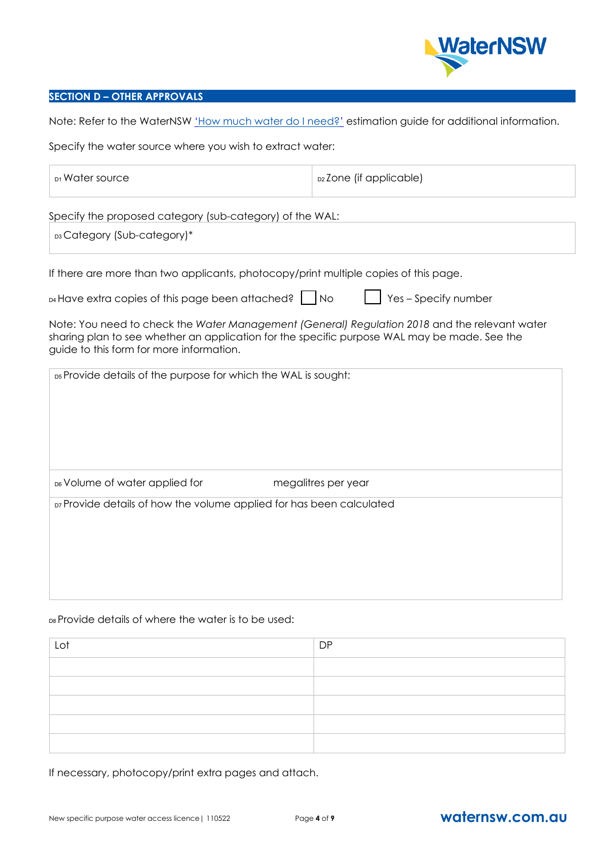

#### **SECTION D – OTHER APPROVALS**

Note: Refer to the WaterNSW ['How much water do I need?'](https://www.waternsw.com.au/__data/assets/pdf_file/0008/136619/How-much-water-do-I-need.pdf) estimation guide for additional information.

Specify the water source where you wish to extract water:

| D1 Water source                                                                                                                          |                     | D2Zone (if applicable)                                                                        |
|------------------------------------------------------------------------------------------------------------------------------------------|---------------------|-----------------------------------------------------------------------------------------------|
| Specify the proposed category (sub-category) of the WAL:                                                                                 |                     |                                                                                               |
| <b>D3 Category (Sub-category)*</b>                                                                                                       |                     |                                                                                               |
| If there are more than two applicants, photocopy/print multiple copies of this page.                                                     |                     |                                                                                               |
| <b>D4 Have extra copies of this page been attached?</b> [Callenger                                                                       |                     | Yes - Specify number                                                                          |
| sharing plan to see whether an application for the specific purpose WAL may be made. See the<br>guide to this form for more information. |                     | Note: You need to check the Water Management (General) Regulation 2018 and the relevant water |
| D5 Provide details of the purpose for which the WAL is sought:                                                                           |                     |                                                                                               |
|                                                                                                                                          |                     |                                                                                               |
|                                                                                                                                          |                     |                                                                                               |
|                                                                                                                                          |                     |                                                                                               |
| D6 Volume of water applied for                                                                                                           | megalitres per year |                                                                                               |
| D7 Provide details of how the volume applied for has been calculated                                                                     |                     |                                                                                               |
|                                                                                                                                          |                     |                                                                                               |
|                                                                                                                                          |                     |                                                                                               |
|                                                                                                                                          |                     |                                                                                               |
|                                                                                                                                          |                     |                                                                                               |
|                                                                                                                                          |                     |                                                                                               |

#### D8 Provide details of where the water is to be used:

| Lot | <b>DP</b> |
|-----|-----------|
|     |           |
|     |           |
|     |           |
|     |           |
|     |           |

If necessary, photocopy/print extra pages and attach.

### New specific purpose water access licence | 110522 Page 4 of **9 [waternsw.com.au](http://www.waternsw.com.au/)**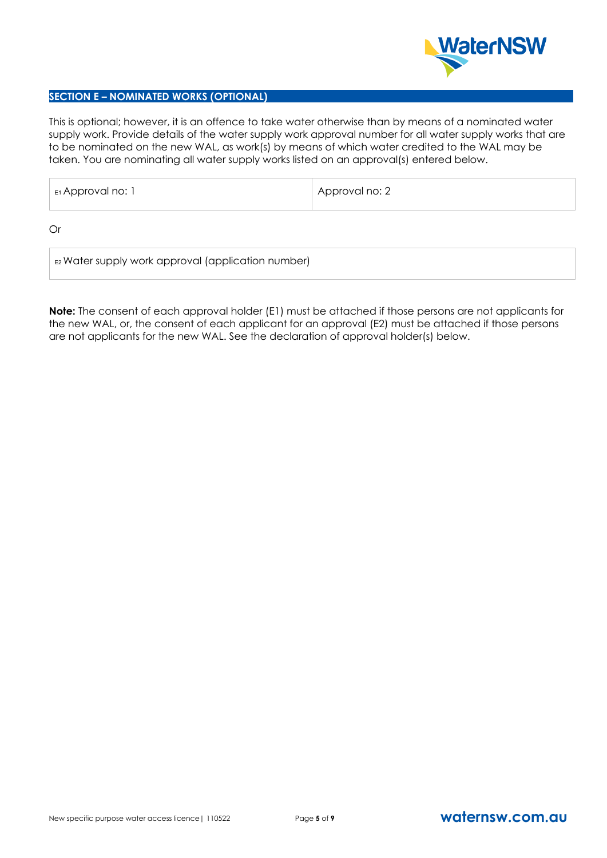

#### **SECTION E – NOMINATED WORKS (OPTIONAL)**

This is optional; however, it is an offence to take water otherwise than by means of a nominated water supply work. Provide details of the water supply work approval number for all water supply works that are to be nominated on the new WAL, as work(s) by means of which water credited to the WAL may be taken. You are nominating all water supply works listed on an approval(s) entered below.

| E1 Approval no: 1 | 'Approval no: 2 |
|-------------------|-----------------|
|-------------------|-----------------|

Or

E2 Water supply work approval (application number)

**Note:** The consent of each approval holder (E1) must be attached if those persons are not applicants for the new WAL, or, the consent of each applicant for an approval (E2) must be attached if those persons are not applicants for the new WAL. See the declaration of approval holder(s) below.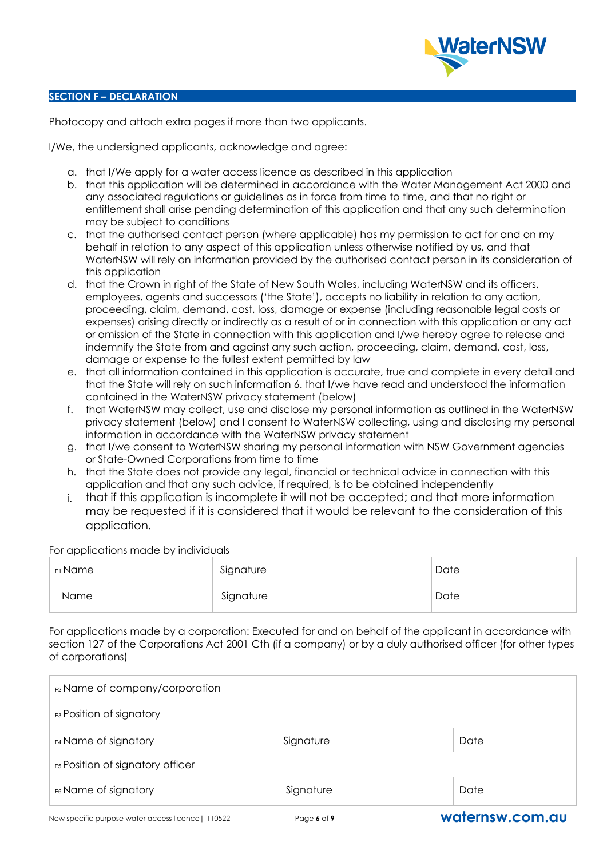

#### **SECTION F – DECLARATION**

Photocopy and attach extra pages if more than two applicants.

I/We, the undersigned applicants, acknowledge and agree:

- a. that I/We apply for a water access licence as described in this application
- b. that this application will be determined in accordance with the Water Management Act 2000 and any associated regulations or guidelines as in force from time to time, and that no right or entitlement shall arise pending determination of this application and that any such determination may be subject to conditions
- c. that the authorised contact person (where applicable) has my permission to act for and on my behalf in relation to any aspect of this application unless otherwise notified by us, and that WaterNSW will rely on information provided by the authorised contact person in its consideration of this application
- d. that the Crown in right of the State of New South Wales, including WaterNSW and its officers, employees, agents and successors ('the State'), accepts no liability in relation to any action, proceeding, claim, demand, cost, loss, damage or expense (including reasonable legal costs or expenses) arising directly or indirectly as a result of or in connection with this application or any act or omission of the State in connection with this application and I/we hereby agree to release and indemnify the State from and against any such action, proceeding, claim, demand, cost, loss, damage or expense to the fullest extent permitted by law
- e. that all information contained in this application is accurate, true and complete in every detail and that the State will rely on such information 6. that I/we have read and understood the information contained in the WaterNSW privacy statement (below)
- f. that WaterNSW may collect, use and disclose my personal information as outlined in the WaterNSW privacy statement (below) and I consent to WaterNSW collecting, using and disclosing my personal information in accordance with the WaterNSW privacy statement
- g. that I/we consent to WaterNSW sharing my personal information with NSW Government agencies or State-Owned Corporations from time to time
- h. that the State does not provide any legal, financial or technical advice in connection with this application and that any such advice, if required, is to be obtained independently
- i. that if this application is incomplete it will not be accepted; and that more information may be requested if it is considered that it would be relevant to the consideration of this application.

For applications made by individuals

| ғ1 Name | Signature | Date |
|---------|-----------|------|
| Name    | Signature | Date |

For applications made by a corporation: Executed for and on behalf of the applicant in accordance with section 127 of the Corporations Act 2001 Cth (if a company) or by a duly authorised officer (for other types of corporations)

| F2 Name of company/corporation            |           |      |  |  |  |
|-------------------------------------------|-----------|------|--|--|--|
| <b>F3</b> Position of signatory           |           |      |  |  |  |
| <b>F4 Name of signatory</b>               | Signature | Date |  |  |  |
| F5 Position of signatory officer          |           |      |  |  |  |
| F6 Name of signatory<br>Signature<br>Date |           |      |  |  |  |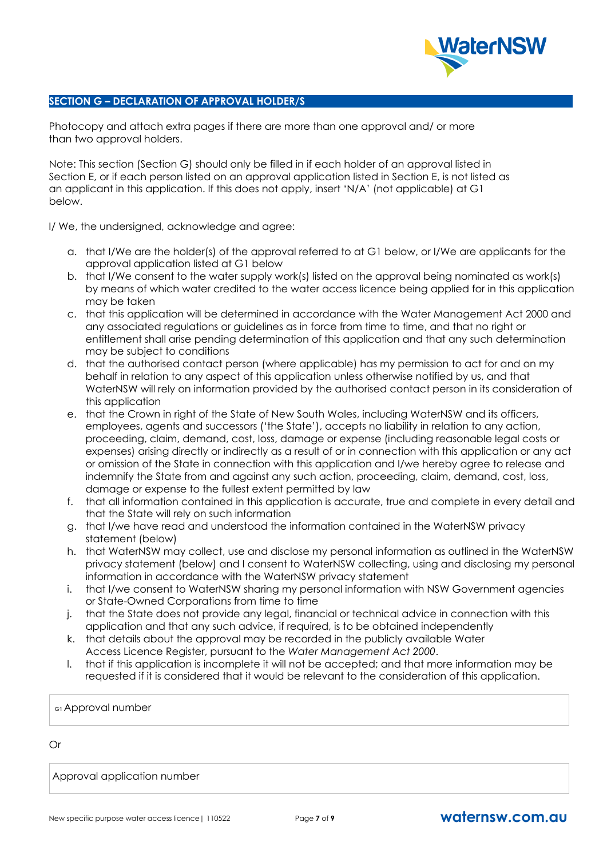

#### **SECTION G – DECLARATION OF APPROVAL HOLDER/S**

Photocopy and attach extra pages if there are more than one approval and/ or more than two approval holders.

Note: This section (Section G) should only be filled in if each holder of an approval listed in Section E, or if each person listed on an approval application listed in Section E, is not listed as an applicant in this application. If this does not apply, insert 'N/A' (not applicable) at G1 below.

I/ We, the undersigned, acknowledge and agree:

- a. that I/We are the holder(s) of the approval referred to at G1 below, or I/We are applicants for the approval application listed at G1 below
- b. that I/We consent to the water supply work(s) listed on the approval being nominated as work(s) by means of which water credited to the water access licence being applied for in this application may be taken
- c. that this application will be determined in accordance with the Water Management Act 2000 and any associated regulations or guidelines as in force from time to time, and that no right or entitlement shall arise pending determination of this application and that any such determination may be subject to conditions
- d. that the authorised contact person (where applicable) has my permission to act for and on my behalf in relation to any aspect of this application unless otherwise notified by us, and that WaterNSW will rely on information provided by the authorised contact person in its consideration of this application
- e. that the Crown in right of the State of New South Wales, including WaterNSW and its officers, employees, agents and successors ('the State'), accepts no liability in relation to any action, proceeding, claim, demand, cost, loss, damage or expense (including reasonable legal costs or expenses) arising directly or indirectly as a result of or in connection with this application or any act or omission of the State in connection with this application and I/we hereby agree to release and indemnify the State from and against any such action, proceeding, claim, demand, cost, loss, damage or expense to the fullest extent permitted by law
- f. that all information contained in this application is accurate, true and complete in every detail and that the State will rely on such information
- g. that I/we have read and understood the information contained in the WaterNSW privacy statement (below)
- h. that WaterNSW may collect, use and disclose my personal information as outlined in the WaterNSW privacy statement (below) and I consent to WaterNSW collecting, using and disclosing my personal information in accordance with the WaterNSW privacy statement
- i. that I/we consent to WaterNSW sharing my personal information with NSW Government agencies or State-Owned Corporations from time to time
- j. that the State does not provide any legal, financial or technical advice in connection with this application and that any such advice, if required, is to be obtained independently
- k. that details about the approval may be recorded in the publicly available Water Access Licence Register, pursuant to the *Water Management Act 2000*.
- l. that if this application is incomplete it will not be accepted; and that more information may be requested if it is considered that it would be relevant to the consideration of this application.

G1 Approval number

Or

Approval application number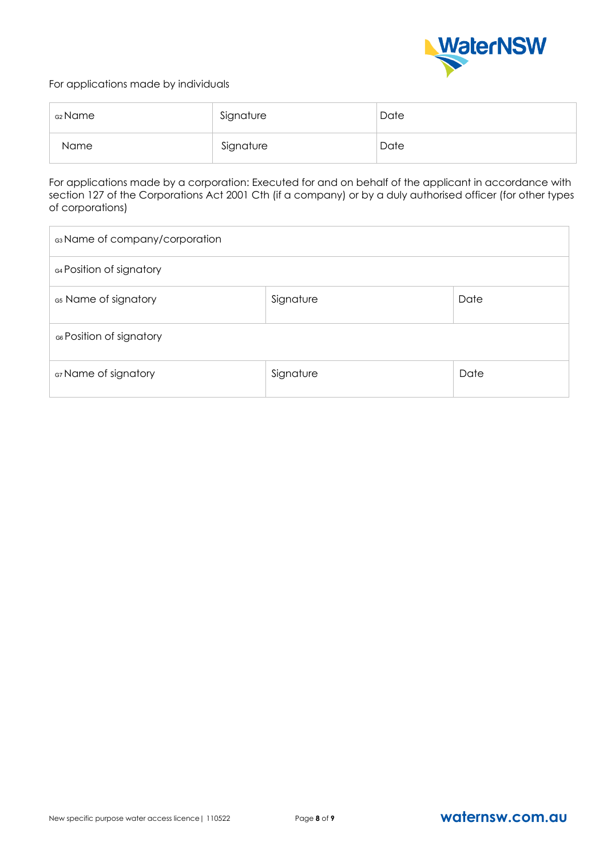

#### For applications made by individuals

| <sub>G2</sub> Name | Signature | Date |
|--------------------|-----------|------|
| <b>Name</b>        | Signature | Date |

For applications made by a corporation: Executed for and on behalf of the applicant in accordance with section 127 of the Corporations Act 2001 Cth (if a company) or by a duly authorised officer (for other types of corporations)

| G3 Name of company/corporation            |                   |  |  |  |  |  |
|-------------------------------------------|-------------------|--|--|--|--|--|
| G4 Position of signatory                  |                   |  |  |  |  |  |
| G5 Name of signatory                      | Date<br>Signature |  |  |  |  |  |
| G6 Position of signatory                  |                   |  |  |  |  |  |
| G7 Name of signatory<br>Signature<br>Date |                   |  |  |  |  |  |